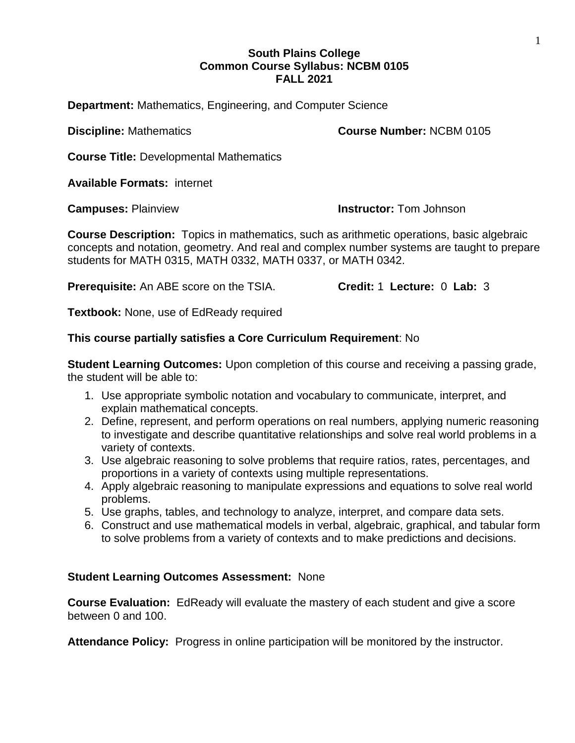## **South Plains College Common Course Syllabus: NCBM 0105 FALL 2021**

**Department:** Mathematics, Engineering, and Computer Science

**Discipline:** Mathematics **Course Number:** NCBM 0105

**Course Title:** Developmental Mathematics

**Available Formats:** internet

**Campuses:** Plainview **Instructor:** Tom Johnson

**Course Description:** Topics in mathematics, such as arithmetic operations, basic algebraic concepts and notation, geometry. And real and complex number systems are taught to prepare students for MATH 0315, MATH 0332, MATH 0337, or MATH 0342.

**Prerequisite:** An ABE score on the TSIA. **Credit:** 1 **Lecture:** 0 **Lab:** 3

**Textbook:** None, use of EdReady required

## **This course partially satisfies a Core Curriculum Requirement**: No

**Student Learning Outcomes:** Upon completion of this course and receiving a passing grade, the student will be able to:

- 1. Use appropriate symbolic notation and vocabulary to communicate, interpret, and explain mathematical concepts.
- 2. Define, represent, and perform operations on real numbers, applying numeric reasoning to investigate and describe quantitative relationships and solve real world problems in a variety of contexts.
- 3. Use algebraic reasoning to solve problems that require ratios, rates, percentages, and proportions in a variety of contexts using multiple representations.
- 4. Apply algebraic reasoning to manipulate expressions and equations to solve real world problems.
- 5. Use graphs, tables, and technology to analyze, interpret, and compare data sets.
- 6. Construct and use mathematical models in verbal, algebraic, graphical, and tabular form to solve problems from a variety of contexts and to make predictions and decisions.

## **Student Learning Outcomes Assessment:** None

**Course Evaluation:** EdReady will evaluate the mastery of each student and give a score between 0 and 100.

**Attendance Policy:** Progress in online participation will be monitored by the instructor.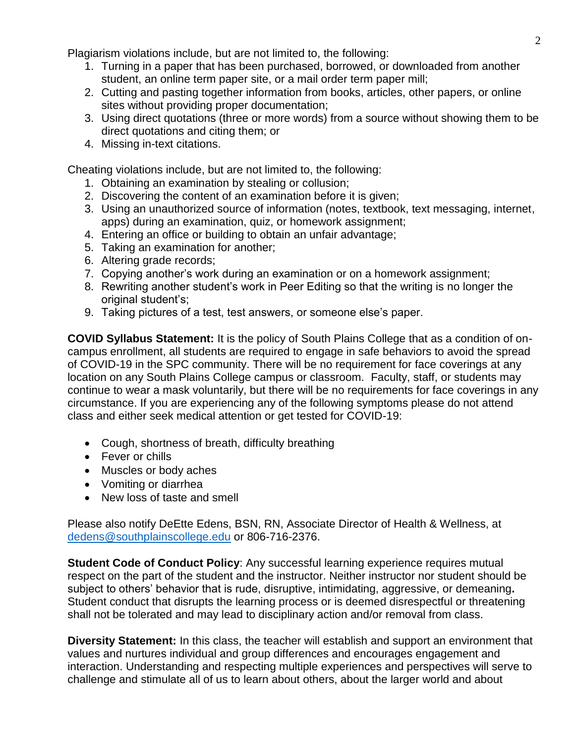Plagiarism violations include, but are not limited to, the following:

- 1. Turning in a paper that has been purchased, borrowed, or downloaded from another student, an online term paper site, or a mail order term paper mill;
- 2. Cutting and pasting together information from books, articles, other papers, or online sites without providing proper documentation;
- 3. Using direct quotations (three or more words) from a source without showing them to be direct quotations and citing them; or
- 4. Missing in-text citations.

Cheating violations include, but are not limited to, the following:

- 1. Obtaining an examination by stealing or collusion;
- 2. Discovering the content of an examination before it is given;
- 3. Using an unauthorized source of information (notes, textbook, text messaging, internet, apps) during an examination, quiz, or homework assignment;
- 4. Entering an office or building to obtain an unfair advantage;
- 5. Taking an examination for another;
- 6. Altering grade records;
- 7. Copying another's work during an examination or on a homework assignment;
- 8. Rewriting another student's work in Peer Editing so that the writing is no longer the original student's;
- 9. Taking pictures of a test, test answers, or someone else's paper.

**COVID Syllabus Statement:** It is the policy of South Plains College that as a condition of oncampus enrollment, all students are required to engage in safe behaviors to avoid the spread of COVID-19 in the SPC community. There will be no requirement for face coverings at any location on any South Plains College campus or classroom. Faculty, staff, or students may continue to wear a mask voluntarily, but there will be no requirements for face coverings in any circumstance. If you are experiencing any of the following symptoms please do not attend class and either seek medical attention or get tested for COVID-19:

- Cough, shortness of breath, difficulty breathing
- Fever or chills
- Muscles or body aches
- Vomiting or diarrhea
- New loss of taste and smell

Please also notify DeEtte Edens, BSN, RN, Associate Director of Health & Wellness, at [dedens@southplainscollege.edu](mailto:dedens@southplainscollege.edu) or 806-716-2376.

**Student Code of Conduct Policy:** Any successful learning experience requires mutual respect on the part of the student and the instructor. Neither instructor nor student should be subject to others' behavior that is rude, disruptive, intimidating, aggressive, or demeaning**.**  Student conduct that disrupts the learning process or is deemed disrespectful or threatening shall not be tolerated and may lead to disciplinary action and/or removal from class.

**Diversity Statement:** In this class, the teacher will establish and support an environment that values and nurtures individual and group differences and encourages engagement and interaction. Understanding and respecting multiple experiences and perspectives will serve to challenge and stimulate all of us to learn about others, about the larger world and about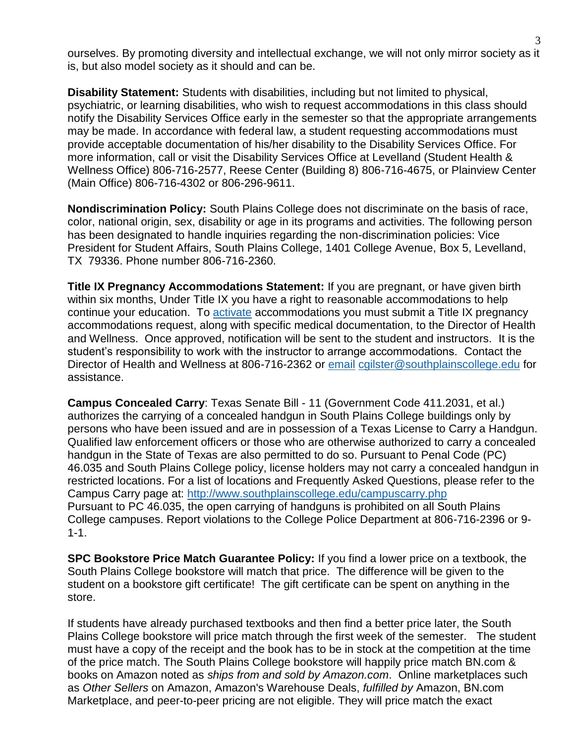ourselves. By promoting diversity and intellectual exchange, we will not only mirror society as it is, but also model society as it should and can be.

**Disability Statement:** Students with disabilities, including but not limited to physical, psychiatric, or learning disabilities, who wish to request accommodations in this class should notify the Disability Services Office early in the semester so that the appropriate arrangements may be made. In accordance with federal law, a student requesting accommodations must provide acceptable documentation of his/her disability to the Disability Services Office. For more information, call or visit the Disability Services Office at Levelland (Student Health & Wellness Office) 806-716-2577, Reese Center (Building 8) 806-716-4675, or Plainview Center (Main Office) 806-716-4302 or 806-296-9611.

**Nondiscrimination Policy:** South Plains College does not discriminate on the basis of race, color, national origin, sex, disability or age in its programs and activities. The following person has been designated to handle inquiries regarding the non-discrimination policies: Vice President for Student Affairs, South Plains College, 1401 College Avenue, Box 5, Levelland, TX 79336. Phone number 806-716-2360.

**Title IX Pregnancy Accommodations Statement:** If you are pregnant, or have given birth within six months, Under Title IX you have a right to reasonable accommodations to help continue your education. To [activate](http://www.southplainscollege.edu/employees/manualshandbooks/facultyhandbook/sec4.php) accommodations you must submit a Title IX pregnancy accommodations request, along with specific medical documentation, to the Director of Health and Wellness. Once approved, notification will be sent to the student and instructors. It is the student's responsibility to work with the instructor to arrange accommodations. Contact the Director of Health and Wellness at 806-716-2362 or [email](http://www.southplainscollege.edu/employees/manualshandbooks/facultyhandbook/sec4.php) [cgilster@southplainscollege.edu](mailto:cgilster@southplainscollege.edu) for assistance.

**Campus Concealed Carry**: Texas Senate Bill - 11 (Government Code 411.2031, et al.) authorizes the carrying of a concealed handgun in South Plains College buildings only by persons who have been issued and are in possession of a Texas License to Carry a Handgun. Qualified law enforcement officers or those who are otherwise authorized to carry a concealed handgun in the State of Texas are also permitted to do so. Pursuant to Penal Code (PC) 46.035 and South Plains College policy, license holders may not carry a concealed handgun in restricted locations. For a list of locations and Frequently Asked Questions, please refer to the Campus Carry page at: <http://www.southplainscollege.edu/campuscarry.php> Pursuant to PC 46.035, the open carrying of handguns is prohibited on all South Plains College campuses. Report violations to the College Police Department at 806-716-2396 or 9-  $1 - 1$ .

**SPC Bookstore Price Match Guarantee Policy:** If you find a lower price on a textbook, the South Plains College bookstore will match that price. The difference will be given to the student on a bookstore gift certificate! The gift certificate can be spent on anything in the store.

If students have already purchased textbooks and then find a better price later, the South Plains College bookstore will price match through the first week of the semester. The student must have a copy of the receipt and the book has to be in stock at the competition at the time of the price match. The South Plains College bookstore will happily price match BN.com & books on Amazon noted as *ships from and sold by Amazon.com*. Online marketplaces such as *Other Sellers* on Amazon, Amazon's Warehouse Deals, *fulfilled by* Amazon, BN.com Marketplace, and peer-to-peer pricing are not eligible. They will price match the exact